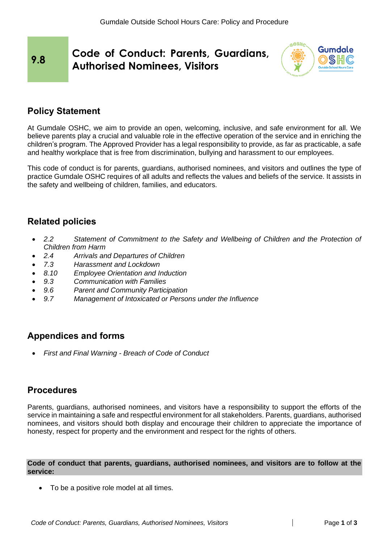# **9.8 Code of Conduct: Parents, Guardians, Authorised Nominees, Visitors**



# **Policy Statement**

At Gumdale OSHC, we aim to provide an open, welcoming, inclusive, and safe environment for all. We believe parents play a crucial and valuable role in the effective operation of the service and in enriching the children's program. The Approved Provider has a legal responsibility to provide, as far as practicable, a safe and healthy workplace that is free from discrimination, bullying and harassment to our employees.

This code of conduct is for parents, guardians, authorised nominees, and visitors and outlines the type of practice Gumdale OSHC requires of all adults and reflects the values and beliefs of the service. It assists in the safety and wellbeing of children, families, and educators.

# **Related policies**

- *2.2 Statement of Commitment to the Safety and Wellbeing of Children and the Protection of Children from Harm*
- *2.4 Arrivals and Departures of Children*
- *7.3 Harassment and Lockdown*
- *8.10 Employee Orientation and Induction*
- *9.3 Communication with Families*
- *9.6 Parent and Community Participation*
- *9.7 Management of Intoxicated or Persons under the Influence*

# **Appendices and forms**

• *First and Final Warning - Breach of Code of Conduct*

## **Procedures**

Parents, guardians, authorised nominees, and visitors have a responsibility to support the efforts of the service in maintaining a safe and respectful environment for all stakeholders. Parents, guardians, authorised nominees, and visitors should both display and encourage their children to appreciate the importance of honesty, respect for property and the environment and respect for the rights of others.

**Code of conduct that parents, guardians, authorised nominees, and visitors are to follow at the service:**

• To be a positive role model at all times.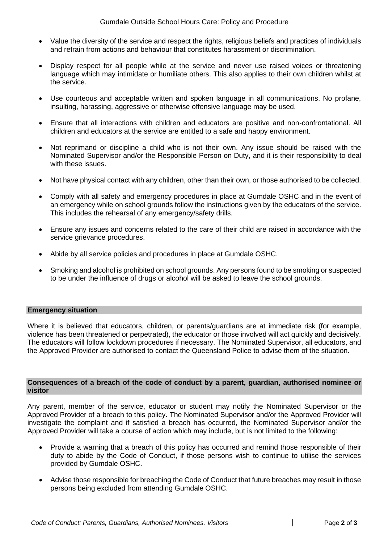- Value the diversity of the service and respect the rights, religious beliefs and practices of individuals and refrain from actions and behaviour that constitutes harassment or discrimination.
- Display respect for all people while at the service and never use raised voices or threatening language which may intimidate or humiliate others. This also applies to their own children whilst at the service.
- Use courteous and acceptable written and spoken language in all communications. No profane, insulting, harassing, aggressive or otherwise offensive language may be used.
- Ensure that all interactions with children and educators are positive and non-confrontational. All children and educators at the service are entitled to a safe and happy environment.
- Not reprimand or discipline a child who is not their own. Any issue should be raised with the Nominated Supervisor and/or the Responsible Person on Duty, and it is their responsibility to deal with these issues.
- Not have physical contact with any children, other than their own, or those authorised to be collected.
- Comply with all safety and emergency procedures in place at Gumdale OSHC and in the event of an emergency while on school grounds follow the instructions given by the educators of the service. This includes the rehearsal of any emergency/safety drills.
- Ensure any issues and concerns related to the care of their child are raised in accordance with the service grievance procedures.
- Abide by all service policies and procedures in place at Gumdale OSHC.
- Smoking and alcohol is prohibited on school grounds. Any persons found to be smoking or suspected to be under the influence of drugs or alcohol will be asked to leave the school grounds.

### **Emergency situation**

Where it is believed that educators, children, or parents/guardians are at immediate risk (for example, violence has been threatened or perpetrated), the educator or those involved will act quickly and decisively. The educators will follow lockdown procedures if necessary. The Nominated Supervisor, all educators, and the Approved Provider are authorised to contact the Queensland Police to advise them of the situation.

### **Consequences of a breach of the code of conduct by a parent, guardian, authorised nominee or visitor**

Any parent, member of the service, educator or student may notify the Nominated Supervisor or the Approved Provider of a breach to this policy. The Nominated Supervisor and/or the Approved Provider will investigate the complaint and if satisfied a breach has occurred, the Nominated Supervisor and/or the Approved Provider will take a course of action which may include, but is not limited to the following:

- Provide a warning that a breach of this policy has occurred and remind those responsible of their duty to abide by the Code of Conduct, if those persons wish to continue to utilise the services provided by Gumdale OSHC.
- Advise those responsible for breaching the Code of Conduct that future breaches may result in those persons being excluded from attending Gumdale OSHC.